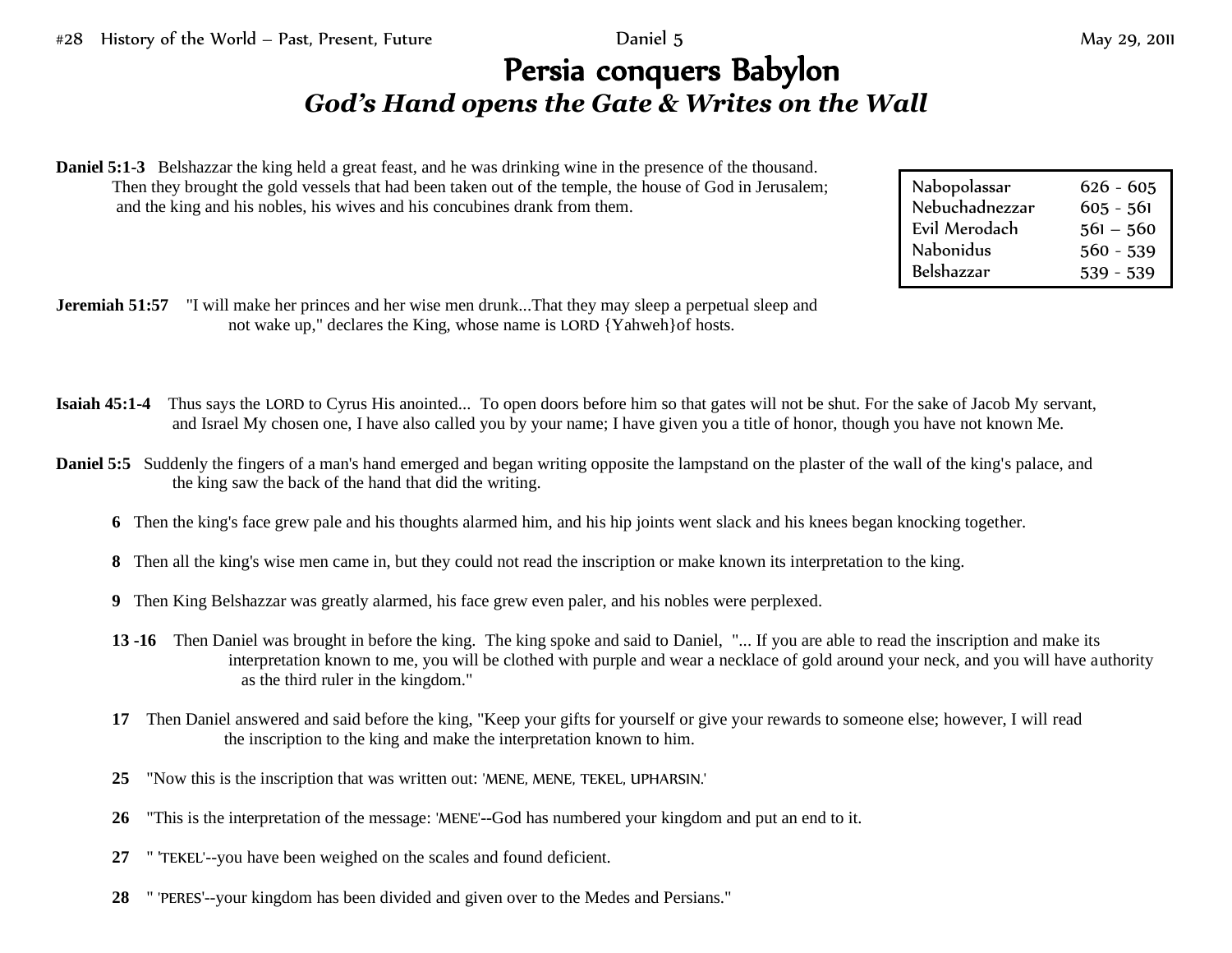## Persia conquers Babylon *God's Hand opens the Gate & Writes on the Wall*

**Daniel 5:1-3** Belshazzar the king held a great feast, and he was drinking wine in the presence of the thousand. Then they brought the gold vessels that had been taken out of the temple, the house of God in Jerusalem; and the king and his nobles, his wives and his concubines drank from them.

| Nabopolassar   | $626 - 605$ |
|----------------|-------------|
| Nebuchadnezzar | $605 - 561$ |
| Evil Merodach  | $561 - 560$ |
| Nabonidus      | $560 - 539$ |
| Belshazzar     | $539 - 539$ |

- **Jeremiah 51:57** "I will make her princes and her wise men drunk...That they may sleep a perpetual sleep and not wake up," declares the King, whose name is LORD {Yahweh}of hosts.
- **Isaiah 45:1-4** Thus says the LORD to Cyrus His anointed... To open doors before him so that gates will not be shut. For the sake of Jacob My servant, and Israel My chosen one, I have also called you by your name; I have given you a title of honor, though you have not known Me.
- **Daniel 5:5** Suddenly the fingers of a man's hand emerged and began writing opposite the lampstand on the plaster of the wall of the king's palace, and the king saw the back of the hand that did the writing.
	- **6** Then the king's face grew pale and his thoughts alarmed him, and his hip joints went slack and his knees began knocking together.
	- **8** Then all the king's wise men came in, but they could not read the inscription or make known its interpretation to the king.
	- **9** Then King Belshazzar was greatly alarmed, his face grew even paler, and his nobles were perplexed.
	- **13 -16** Then Daniel was brought in before the king. The king spoke and said to Daniel, "... If you are able to read the inscription and make its interpretation known to me, you will be clothed with purple and wear a necklace of gold around your neck, and you will have authority as the third ruler in the kingdom."
	- **17** Then Daniel answered and said before the king, "Keep your gifts for yourself or give your rewards to someone else; however, I will read the inscription to the king and make the interpretation known to him.
	- **25** "Now this is the inscription that was written out: 'MENE, MENE, TEKEL, UPHARSIN.'
	- **26** "This is the interpretation of the message: 'MENE'--God has numbered your kingdom and put an end to it.
	- **27** " 'TEKEL'--you have been weighed on the scales and found deficient.
	- **28** " 'PERES'--your kingdom has been divided and given over to the Medes and Persians."